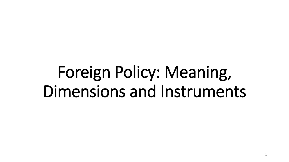## Foreign Policy: Meaning, Dimensions and Instruments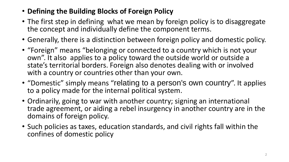- **Defining the Building Blocks of Foreign Policy**
- The first step in defining what we mean by foreign policy is to disaggregate the concept and individually define the component terms.
- Generally, there is a distinction between foreign policy and domestic policy.
- "Foreign" means "belonging or connected to a country which is not your own". It also applies to a policy toward the outside world or outside a state's territorial borders. Foreign also denotes dealing with or involved with a country or countries other than your own.
- "Domestic" simply means "relating to a person's own country". It applies to a policy made for the internal political system.
- Ordinarily, going to war with another country; signing an international trade agreement, or aiding a rebel insurgency in another country are in the domains of foreign policy.
- Such policies as taxes, education standards, and civil rights fall within the confines of domestic policy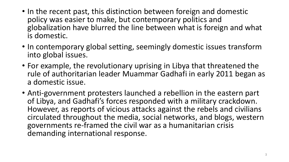- In the recent past, this distinction between foreign and domestic policy was easier to make, but contemporary politics and globalization have blurred the line between what is foreign and what is domestic.
- In contemporary global setting, seemingly domestic issues transform into global issues.
- For example, the revolutionary uprising in Libya that threatened the rule of authoritarian leader Muammar Gadhafi in early 2011 began as a domestic issue.
- Anti-government protesters launched a rebellion in the eastern part of Libya, and Gadhafi's forces responded with a military crackdown. However, as reports of vicious attacks against the rebels and civilians circulated throughout the media, social networks, and blogs, western governments re-framed the civil war as a humanitarian crisis demanding international response.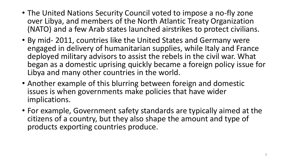- The United Nations Security Council voted to impose a no-fly zone over Libya, and members of the North Atlantic Treaty Organization (NATO) and a few Arab states launched airstrikes to protect civilians.
- By mid- 2011, countries like the United States and Germany were engaged in delivery of humanitarian supplies, while Italy and France deployed military advisors to assist the rebels in the civil war. What began as a domestic uprising quickly became a foreign policy issue for Libya and many other countries in the world.
- Another example of this blurring between foreign and domestic issues is when governments make policies that have wider implications.
- For example, Government safety standards are typically aimed at the citizens of a country, but they also shape the amount and type of products exporting countries produce.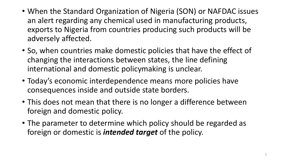- When the Standard Organization of Nigeria (SON) or NAFDAC issues an alert regarding any chemical used in manufacturing products, exports to Nigeria from countries producing such products will be adversely affected.
- So, when countries make domestic policies that have the effect of changing the interactions between states, the line defining international and domestic policymaking is unclear.
- Today's economic interdependence means more policies have consequences inside and outside state borders.
- This does not mean that there is no longer a difference between foreign and domestic policy.
- The parameter to determine which policy should be regarded as foreign or domestic is *intended target* of the policy.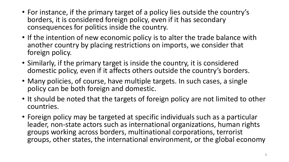- For instance, if the primary target of a policy lies outside the country's borders, it is considered foreign policy, even if it has secondary consequences for politics inside the country.
- If the intention of new economic policy is to alter the trade balance with another country by placing restrictions on imports, we consider that foreign policy.
- Similarly, if the primary target is inside the country, it is considered domestic policy, even if it affects others outside the country's borders.
- Many policies, of course, have multiple targets. In such cases, a single policy can be both foreign and domestic.
- It should be noted that the targets of foreign policy are not limited to other countries.
- Foreign policy may be targeted at specific individuals such as a particular leader, non-state actors such as international organizations, human rights groups working across borders, multinational corporations, terrorist groups, other states, the international environment, or the global economy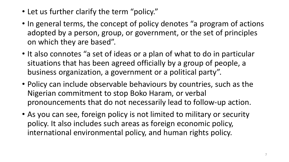- Let us further clarify the term "policy."
- In general terms, the concept of policy denotes "a program of actions adopted by a person, group, or government, or the set of principles on which they are based".
- It also connotes "a set of ideas or a plan of what to do in particular situations that has been agreed officially by a group of people, a business organization, a government or a political party".
- Policy can include observable behaviours by countries, such as the Nigerian commitment to stop Boko Haram, or verbal pronouncements that do not necessarily lead to follow-up action.
- As you can see, foreign policy is not limited to military or security policy. It also includes such areas as foreign economic policy, international environmental policy, and human rights policy.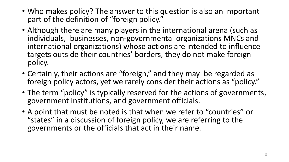- Who makes policy? The answer to this question is also an important part of the definition of "foreign policy."
- Although there are many players in the international arena (such as individuals, businesses, non-governmental organizations MNCs and international organizations) whose actions are intended to influence targets outside their countries' borders, they do not make foreign policy.
- Certainly, their actions are "foreign," and they may be regarded as foreign policy actors, yet we rarely consider their actions as "policy."
- The term "policy" is typically reserved for the actions of governments, government institutions, and government officials.
- A point that must be noted is that when we refer to "countries" or "states" in a discussion of foreign policy, we are referring to the governments or the officials that act in their name.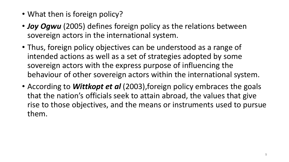- What then is foreign policy?
- *Joy Ogwu* (2005) defines foreign policy as the relations between sovereign actors in the international system.
- Thus, foreign policy objectives can be understood as a range of intended actions as well as a set of strategies adopted by some sovereign actors with the express purpose of influencing the behaviour of other sovereign actors within the international system.
- According to **Wittkopt et al** (2003), foreign policy embraces the goals that the nation's officials seek to attain abroad, the values that give rise to those objectives, and the means or instruments used to pursue them.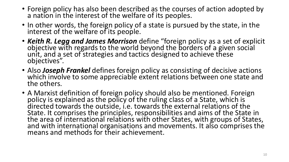- Foreign policy has also been described as the courses of action adopted by a nation in the interest of the welfare of its peoples.
- In other words, the foreign policy of a state is pursued by the state, in the interest of the welfare of its people.
- *Keith R. Legg and James Morrison* define "foreign policy as a set of explicit objective with regards to the world beyond the borders of a given social unit, and a set of strategies and tactics designed to achieve these objectives".
- Also *Joseph Frankel* defines foreign policy as consisting of decisive actions which involve to some appreciable extent relations between one state and the others.
- A Marxist definition of foreign policy should also be mentioned. Foreign policy is explained as the policy of the ruling class of a State, which is directed towards the outside, i.e. towards the external relations of the State. It comprises the principles, responsibilities and aims of the State in the area of international relations with other States, with groups of States, and with international organisations and movements. It also comprises the means and methods for their achievement.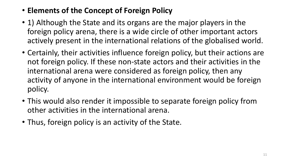- **Elements of the Concept of Foreign Policy**
- 1) Although the State and its organs are the major players in the foreign policy arena, there is a wide circle of other important actors actively present in the international relations of the globalised world.
- Certainly, their activities influence foreign policy, but their actions are not foreign policy. If these non-state actors and their activities in the international arena were considered as foreign policy, then any activity of anyone in the international environment would be foreign policy.
- This would also render it impossible to separate foreign policy from other activities in the international arena.
- Thus, foreign policy is an activity of the State.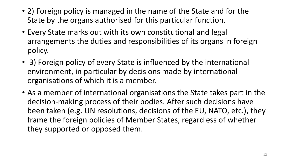- 2) Foreign policy is managed in the name of the State and for the State by the organs authorised for this particular function.
- Every State marks out with its own constitutional and legal arrangements the duties and responsibilities of its organs in foreign policy.
- 3) Foreign policy of every State is influenced by the international environment, in particular by decisions made by international organisations of which it is a member.
- As a member of international organisations the State takes part in the decision-making process of their bodies. After such decisions have been taken (e.g. UN resolutions, decisions of the EU, NATO, etc.), they frame the foreign policies of Member States, regardless of whether they supported or opposed them.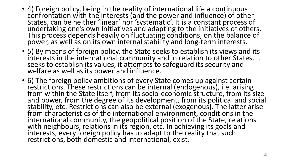- 4) Foreign policy, being in the reality of international life a continuous confrontation with the interests (and the power and influence) of other States, can be neither 'linear' nor 'systematic'. It is a constant process of undertaking one's own initiatives and adapting to the initiatives of others. This process depends heavily on fluctuating conditions, on the balance of power, as well as on its own internal stability and long-term interests.
- 5) By means of foreign policy, the State seeks to establish its views and its interests in the international community and in relation to other States. It seeks to establish its values, it attempts to safeguard its security and welfare as well as its power and influence.
- 6) The foreign policy ambitions of every State comes up against certain restrictions. These restrictions can be internal (endogenous), i.e. arising from within the State itself, from its socio-economic structure, from its size and power, from the degree of its development, from its political and social stability, etc. Restrictions can also be external (exogenous). The latter arise from characteristics of the international environment, conditions in the international community, the geopolitical position of the State, relations with neighbours, relations in its region, etc. In achieving its goals and interests, every foreign policy has to adapt to the reality that such restrictions, both domestic and international, exist.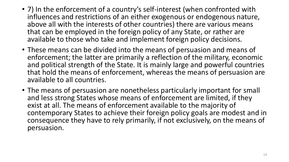- 7) In the enforcement of a country's self-interest (when confronted with influences and restrictions of an either exogenous or endogenous nature, above all with the interests of other countries) there are various means that can be employed in the foreign policy of any State, or rather are available to those who take and implement foreign policy decisions.
- These means can be divided into the means of persuasion and means of enforcement; the latter are primarily a reflection of the military, economic and political strength of the State. It is mainly large and powerful countries that hold the means of enforcement, whereas the means of persuasion are available to all countries.
- The means of persuasion are nonetheless particularly important for small and less strong States whose means of enforcement are limited, if they exist at all. The means of enforcement available to the majority of contemporary States to achieve their foreign policy goals are modest and in consequence they have to rely primarily, if not exclusively, on the means of persuasion.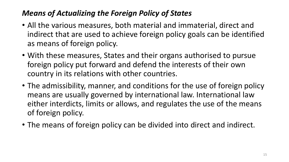## *Means of Actualizing the Foreign Policy of States*

- All the various measures, both material and immaterial, direct and indirect that are used to achieve foreign policy goals can be identified as means of foreign policy.
- With these measures, States and their organs authorised to pursue foreign policy put forward and defend the interests of their own country in its relations with other countries.
- The admissibility, manner, and conditions for the use of foreign policy means are usually governed by international law. International law either interdicts, limits or allows, and regulates the use of the means of foreign policy.
- The means of foreign policy can be divided into direct and indirect.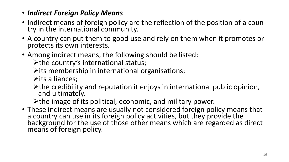## • *Indirect Foreign Policy Means*

- Indirect means of foreign policy are the reflection of the position of a country in the international community.
- A country can put them to good use and rely on them when it promotes or protects its own interests.
- Among indirect means, the following should be listed:

 $\triangleright$  the country's international status;

 $\triangleright$  its membership in international organisations;

 $\triangleright$ its alliances;

 $\triangleright$  the credibility and reputation it enjoys in international public opinion, and ultimately,

 $\triangleright$  the image of its political, economic, and military power.

• These indirect means are usually not considered foreign policy means that a country can use in its foreign policy activities, but they provide the background for the use of those other means which are regarded as direct means of foreign policy.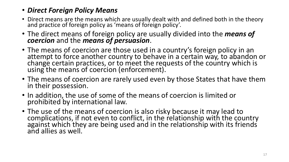## • *Direct Foreign Policy Means*

- Direct means are the means which are usually dealt with and defined both in the theory and practice of foreign policy as 'means of foreign policy'.
- The direct means of foreign policy are usually divided into the *means of coercion* and the *means of persuasion*.
- The means of coercion are those used in a country's foreign policy in an attempt to force another country to behave in a certain way, to abandon or change certain practices, or to meet the requests of the country which is using the means of coercion (enforcement).
- The means of coercion are rarely used even by those States that have them in their possession.
- In addition, the use of some of the means of coercion is limited or prohibited by international law.
- The use of the means of coercion is also risky because it may lead to complications, if not even to conflict, in the relationship with the country against which they are being used and in the relationship with its friends and allies as well.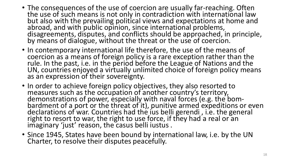- The consequences of the use of coercion are usually far-reaching. Often the use of such means is not only in contradiction with international law but also with the prevailing political views and expectations at home and abroad, and with public opinion, since international problems, disagreements, disputes, and conflicts should be approached, in principle, by means of dialogue, without the threat or the use of coercion.
- In contemporary international life therefore, the use of the means of coercion as a means of foreign policy is a rare exception rather than the rule. In the past, i.e. in the period before the League of Nations and the UN, countries enjoyed a virtually unlimited choice of foreign policy means as an expression of their sovereignty.
- In order to achieve foreign policy objectives, they also resorted to measures such as the occupation of another country's territory, demonstrations of power, especially with naval forces (e.g. the bombardment of a port or the threat of it), punitive armed expeditions or even declarations of war. Countries had the ius belli gerendi , i.e. the general right to resort to war, the right to use force, if they had a real or an imaginary 'just' reason, the casus belli iustus.
- Since 1945, States have been bound by international law, i.e. by the UN Charter, to resolve their disputes peacefully.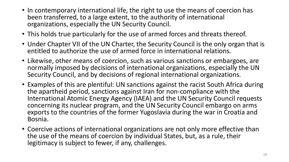- In contemporary international life, the right to use the means of coercion has been transferred, to a large extent, to the authority of international organizations, especially the UN Security Council.
- This holds true particularly for the use of armed forces and threats thereof.
- Under Chapter VII of the UN Charter, the Security Council is the only organ that is entitled to authorize the use of armed force in international relations.
- Likewise, other means of coercion, such as various sanctions or embargoes, are normally imposed by decisions of international organizations, especially the UN Security Council, and by decisions of regional international organizations.
- Examples of this are plentiful: UN sanctions against the racist South Africa during the apartheid period, sanctions against Iran for non-compliance with the International Atomic Energy Agency (IAEA) and the UN Security Council requests concerning its nuclear program, and the UN Security Council embargo on arms exports to the countries of the former Yugoslavia during the war in Croatia and Bosnia.
- Coercive actions of international organizations are not only more effective than the use of the means of coercion by individual States, but, as a rule, their legitimacy is subject to fewer, if any, challenges.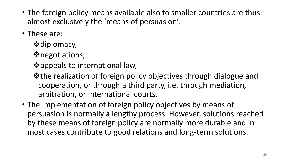- The foreign policy means available also to smaller countries are thus almost exclusively the 'means of persuasion'.
- These are:
	- **\*** diplomacy,
	- negotiations,
	- **\*appeals to international law,**
	- the realization of foreign policy objectives through dialogue and cooperation, or through a third party, i.e. through mediation, arbitration, or international courts.
- The implementation of foreign policy objectives by means of persuasion is normally a lengthy process. However, solutions reached by these means of foreign policy are normally more durable and in most cases contribute to good relations and long-term solutions.